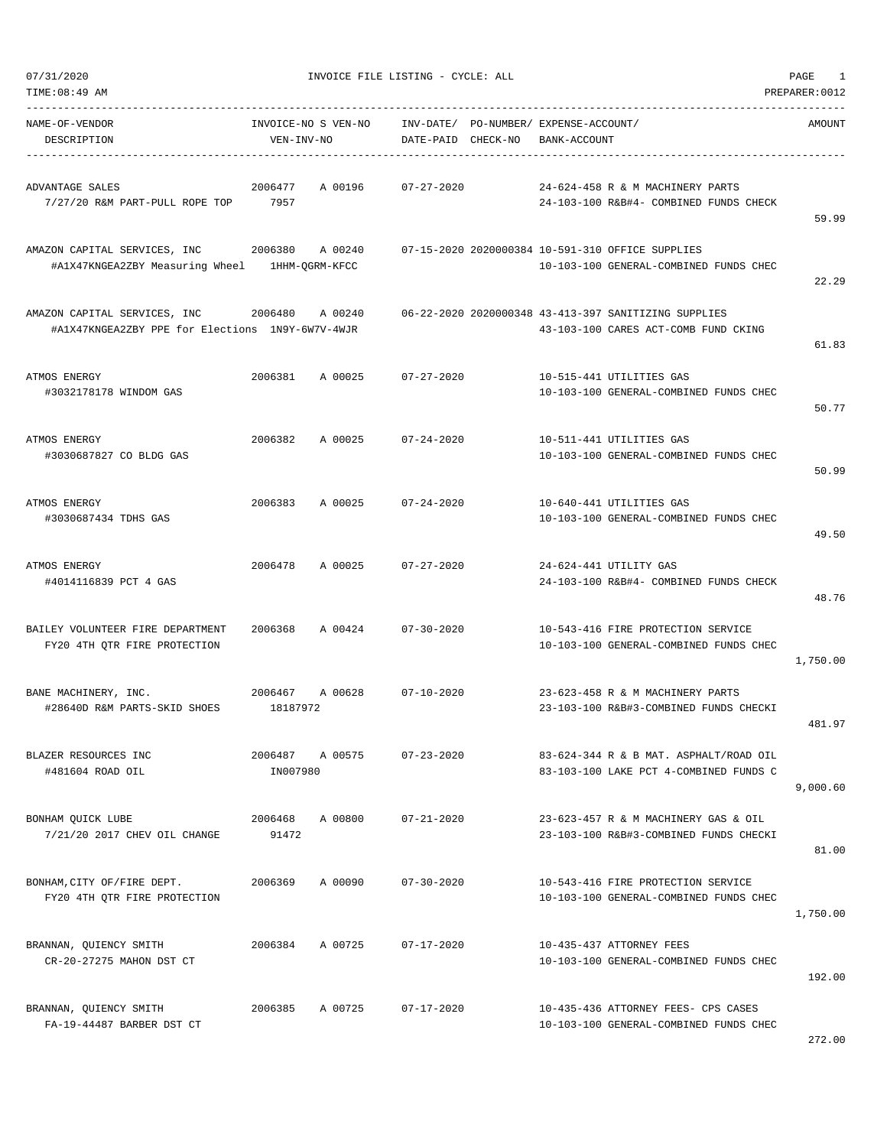| TIME: 08:49 AM                                                                         |                                   |         |                    |                                       |              |                                                                                              | PREPARER: 0012 |
|----------------------------------------------------------------------------------------|-----------------------------------|---------|--------------------|---------------------------------------|--------------|----------------------------------------------------------------------------------------------|----------------|
| NAME-OF-VENDOR<br>DESCRIPTION                                                          | INVOICE-NO S VEN-NO<br>VEN-INV-NO |         | DATE-PAID CHECK-NO | INV-DATE/ PO-NUMBER/ EXPENSE-ACCOUNT/ | BANK-ACCOUNT |                                                                                              | <b>AMOUNT</b>  |
| ADVANTAGE SALES<br>7/27/20 R&M PART-PULL ROPE TOP 7957                                 | 2006477                           | A 00196 | $07 - 27 - 2020$   |                                       |              | 24-624-458 R & M MACHINERY PARTS<br>24-103-100 R&B#4- COMBINED FUNDS CHECK                   | 59.99          |
| AMAZON CAPITAL SERVICES, INC 2006380<br>#A1X47KNGEA2ZBY Measuring Wheel 1HHM-QGRM-KFCC |                                   | A 00240 |                    |                                       |              | 07-15-2020 2020000384 10-591-310 OFFICE SUPPLIES<br>10-103-100 GENERAL-COMBINED FUNDS CHEC   | 22.29          |
| AMAZON CAPITAL SERVICES, INC<br>#A1X47KNGEA2ZBY PPE for Elections 1N9Y-6W7V-4WJR       | 2006480                           | A 00240 |                    |                                       |              | 06-22-2020 2020000348 43-413-397 SANITIZING SUPPLIES<br>43-103-100 CARES ACT-COMB FUND CKING | 61.83          |
| ATMOS ENERGY<br>#3032178178 WINDOM GAS                                                 | 2006381                           | A 00025 | $07 - 27 - 2020$   |                                       |              | 10-515-441 UTILITIES GAS<br>10-103-100 GENERAL-COMBINED FUNDS CHEC                           | 50.77          |
| ATMOS ENERGY<br>#3030687827 CO BLDG GAS                                                | 2006382                           | A 00025 | $07 - 24 - 2020$   |                                       |              | 10-511-441 UTILITIES GAS<br>10-103-100 GENERAL-COMBINED FUNDS CHEC                           | 50.99          |
| ATMOS ENERGY<br>#3030687434 TDHS GAS                                                   | 2006383                           | A 00025 | $07 - 24 - 2020$   |                                       |              | 10-640-441 UTILITIES GAS<br>10-103-100 GENERAL-COMBINED FUNDS CHEC                           | 49.50          |
| ATMOS ENERGY<br>#4014116839 PCT 4 GAS                                                  | 2006478                           | A 00025 | $07 - 27 - 2020$   |                                       |              | 24-624-441 UTILITY GAS<br>24-103-100 R&B#4- COMBINED FUNDS CHECK                             | 48.76          |
| BAILEY VOLUNTEER FIRE DEPARTMENT<br>FY20 4TH QTR FIRE PROTECTION                       | 2006368                           | A 00424 | $07 - 30 - 2020$   |                                       |              | 10-543-416 FIRE PROTECTION SERVICE<br>10-103-100 GENERAL-COMBINED FUNDS CHEC                 | 1,750.00       |
| BANE MACHINERY, INC.<br>#28640D R&M PARTS-SKID SHOES                                   | 2006467<br>18187972               | A 00628 | $07 - 10 - 2020$   |                                       |              | 23-623-458 R & M MACHINERY PARTS<br>23-103-100 R&B#3-COMBINED FUNDS CHECKI                   | 481.97         |
| BLAZER RESOURCES INC<br>#481604 ROAD OIL                                               | 2006487<br>IN007980               | A 00575 | $07 - 23 - 2020$   |                                       |              | 83-624-344 R & B MAT. ASPHALT/ROAD OIL<br>83-103-100 LAKE PCT 4-COMBINED FUNDS C             | 9,000.60       |
| BONHAM OUICK LUBE<br>7/21/20 2017 CHEV OIL CHANGE                                      | 2006468<br>91472                  | A 00800 | $07 - 21 - 2020$   |                                       |              | 23-623-457 R & M MACHINERY GAS & OIL<br>23-103-100 R&B#3-COMBINED FUNDS CHECKI               | 81.00          |
| BONHAM, CITY OF/FIRE DEPT.<br>FY20 4TH QTR FIRE PROTECTION                             | 2006369                           | A 00090 | $07 - 30 - 2020$   |                                       |              | 10-543-416 FIRE PROTECTION SERVICE<br>10-103-100 GENERAL-COMBINED FUNDS CHEC                 | 1,750.00       |
| BRANNAN, QUIENCY SMITH<br>CR-20-27275 MAHON DST CT                                     | 2006384                           | A 00725 | $07 - 17 - 2020$   |                                       |              | 10-435-437 ATTORNEY FEES<br>10-103-100 GENERAL-COMBINED FUNDS CHEC                           | 192.00         |
| BRANNAN, QUIENCY SMITH<br>FA-19-44487 BARBER DST CT                                    | 2006385                           | A 00725 | $07 - 17 - 2020$   |                                       |              | 10-435-436 ATTORNEY FEES- CPS CASES<br>10-103-100 GENERAL-COMBINED FUNDS CHEC                | 272.00         |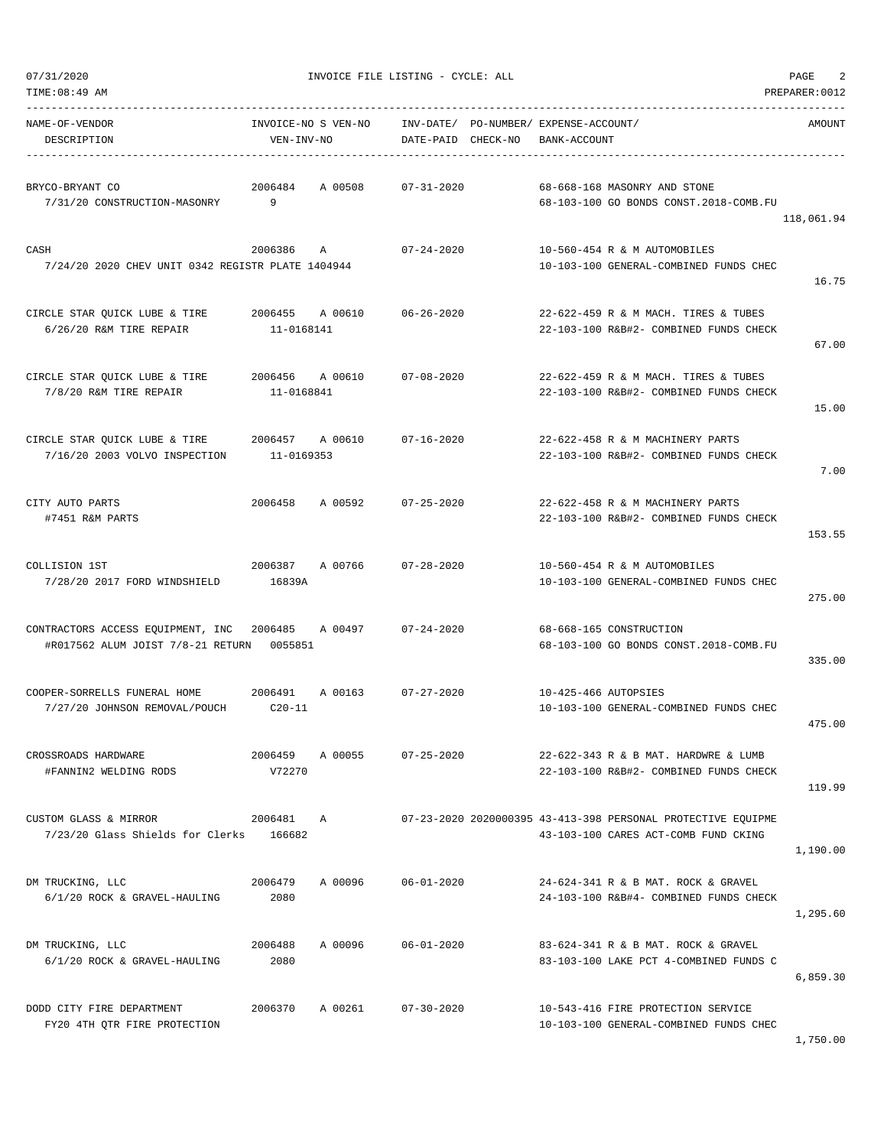| TIME: 08:49 AM                                                         |                                   |         |                        |          |                                                                                                      | PREPARER: 0012 |
|------------------------------------------------------------------------|-----------------------------------|---------|------------------------|----------|------------------------------------------------------------------------------------------------------|----------------|
| NAME-OF-VENDOR<br>DESCRIPTION                                          | INVOICE-NO S VEN-NO<br>VEN-INV-NO |         | INV-DATE/<br>DATE-PAID | CHECK-NO | PO-NUMBER/ EXPENSE-ACCOUNT/<br>BANK-ACCOUNT                                                          | AMOUNT         |
| BRYCO-BRYANT CO<br>7/31/20 CONSTRUCTION-MASONRY                        | 2006484<br>9                      | A 00508 | $07 - 31 - 2020$       |          | 68-668-168 MASONRY AND STONE<br>68-103-100 GO BONDS CONST.2018-COMB.FU                               | 118,061.94     |
| CASH<br>7/24/20 2020 CHEV UNIT 0342 REGISTR PLATE 1404944              | 2006386                           | A       | $07 - 24 - 2020$       |          | 10-560-454 R & M AUTOMOBILES<br>10-103-100 GENERAL-COMBINED FUNDS CHEC                               | 16.75          |
| CIRCLE STAR QUICK LUBE & TIRE<br>6/26/20 R&M TIRE REPAIR               | 2006455<br>11-0168141             | A 00610 | $06 - 26 - 2020$       |          | 22-622-459 R & M MACH. TIRES & TUBES<br>22-103-100 R&B#2- COMBINED FUNDS CHECK                       | 67.00          |
| CIRCLE STAR QUICK LUBE & TIRE<br>7/8/20 R&M TIRE REPAIR                | 2006456<br>11-0168841             | A 00610 | $07 - 08 - 2020$       |          | 22-622-459 R & M MACH. TIRES & TUBES<br>22-103-100 R&B#2- COMBINED FUNDS CHECK                       | 15.00          |
| CIRCLE STAR QUICK LUBE & TIRE<br>7/16/20 2003 VOLVO INSPECTION         | 2006457 A 00610<br>11-0169353     |         | $07 - 16 - 2020$       |          | 22-622-458 R & M MACHINERY PARTS<br>22-103-100 R&B#2- COMBINED FUNDS CHECK                           | 7.00           |
| CITY AUTO PARTS<br>#7451 R&M PARTS                                     | 2006458                           | A 00592 | $07 - 25 - 2020$       |          | 22-622-458 R & M MACHINERY PARTS<br>22-103-100 R&B#2- COMBINED FUNDS CHECK                           | 153.55         |
| COLLISION 1ST<br>7/28/20 2017 FORD WINDSHIELD                          | 2006387<br>16839A                 | A 00766 | $07 - 28 - 2020$       |          | 10-560-454 R & M AUTOMOBILES<br>10-103-100 GENERAL-COMBINED FUNDS CHEC                               | 275.00         |
| CONTRACTORS ACCESS EQUIPMENT, INC<br>#R017562 ALUM JOIST 7/8-21 RETURN | 2006485<br>0055851                | A 00497 | $07 - 24 - 2020$       |          | 68-668-165 CONSTRUCTION<br>68-103-100 GO BONDS CONST.2018-COMB.FU                                    | 335.00         |
| COOPER-SORRELLS FUNERAL HOME<br>7/27/20 JOHNSON REMOVAL/POUCH          | 2006491<br>$C20-11$               | A 00163 | $07 - 27 - 2020$       |          | 10-425-466 AUTOPSIES<br>10-103-100 GENERAL-COMBINED FUNDS CHEC                                       | 475.00         |
| CROSSROADS HARDWARE<br>#FANNIN2 WELDING RODS                           | 2006459<br>V72270                 | A 00055 | $07 - 25 - 2020$       |          | 22-622-343 R & B MAT. HARDWRE & LUMB<br>22-103-100 R&B#2- COMBINED FUNDS CHECK                       | 119.99         |
| CUSTOM GLASS & MIRROR<br>7/23/20 Glass Shields for Clerks              | 2006481 A<br>166682               |         |                        |          | 07-23-2020 2020000395 43-413-398 PERSONAL PROTECTIVE EQUIPME<br>43-103-100 CARES ACT-COMB FUND CKING | 1,190.00       |
| DM TRUCKING, LLC<br>6/1/20 ROCK & GRAVEL-HAULING                       | 2006479<br>2080                   | A 00096 | $06 - 01 - 2020$       |          | 24-624-341 R & B MAT, ROCK & GRAVEL<br>24-103-100 R&B#4- COMBINED FUNDS CHECK                        | 1,295.60       |
| DM TRUCKING, LLC<br>6/1/20 ROCK & GRAVEL-HAULING                       | 2006488<br>2080                   | A 00096 | $06 - 01 - 2020$       |          | 83-624-341 R & B MAT. ROCK & GRAVEL<br>83-103-100 LAKE PCT 4-COMBINED FUNDS C                        | 6,859.30       |
| DODD CITY FIRE DEPARTMENT<br>FY20 4TH QTR FIRE PROTECTION              | 2006370                           | A 00261 | $07 - 30 - 2020$       |          | 10-543-416 FIRE PROTECTION SERVICE<br>10-103-100 GENERAL-COMBINED FUNDS CHEC                         |                |

1,750.00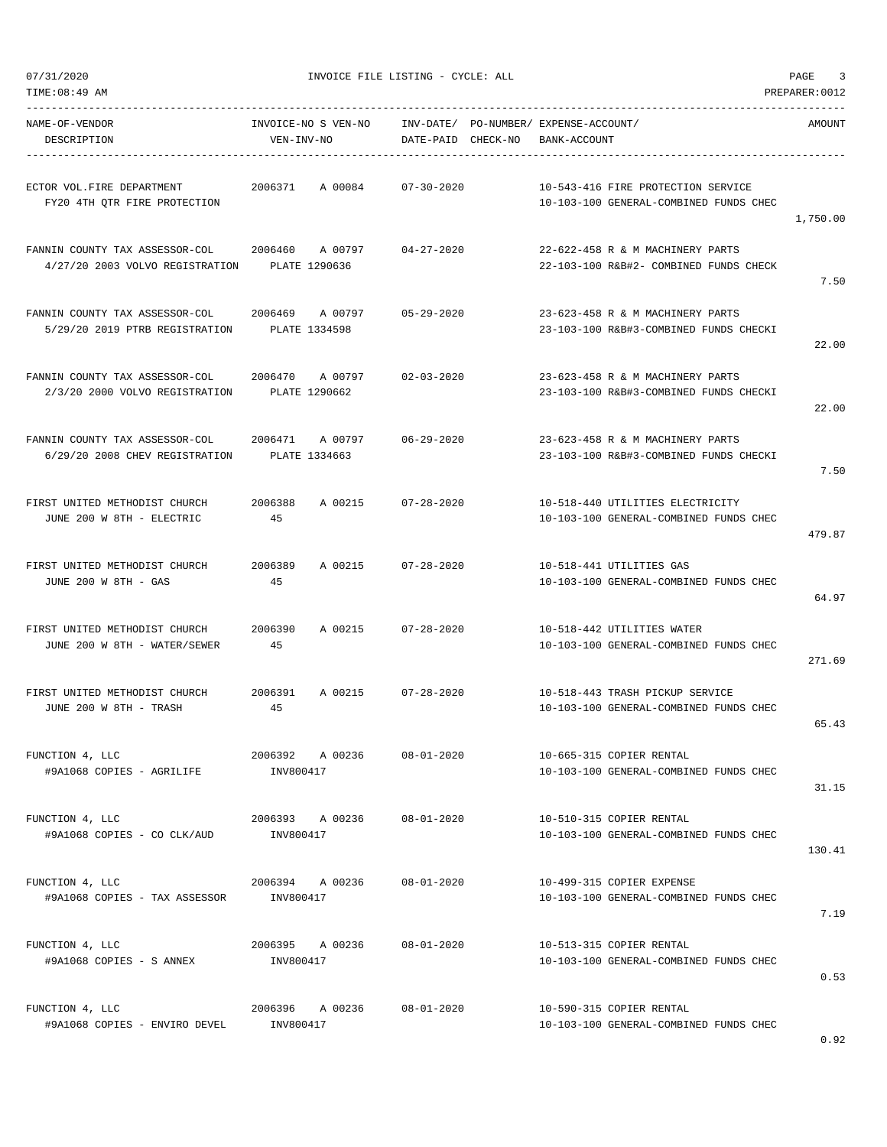-----------------------------------------------------------------------------------------------------------------------------------

| NAME-OF-VENDOR<br>DESCRIPTION                                             | INVOICE-NO S VEN-NO<br>VEN-INV-NO       | INV-DATE/ PO-NUMBER/ EXPENSE-ACCOUNT/<br>DATE-PAID CHECK-NO | BANK-ACCOUNT                                                                 | AMOUNT   |
|---------------------------------------------------------------------------|-----------------------------------------|-------------------------------------------------------------|------------------------------------------------------------------------------|----------|
| ECTOR VOL.FIRE DEPARTMENT<br>FY20 4TH OTR FIRE PROTECTION                 | 2006371<br>A 00084                      | $07 - 30 - 2020$                                            | 10-543-416 FIRE PROTECTION SERVICE<br>10-103-100 GENERAL-COMBINED FUNDS CHEC | 1,750.00 |
| FANNIN COUNTY TAX ASSESSOR-COL<br>4/27/20 2003 VOLVO REGISTRATION         | 2006460 A 00797<br>PLATE 1290636        | $04 - 27 - 2020$                                            | 22-622-458 R & M MACHINERY PARTS<br>22-103-100 R&B#2- COMBINED FUNDS CHECK   | 7.50     |
| FANNIN COUNTY TAX ASSESSOR-COL<br>5/29/20 2019 PTRB REGISTRATION          | 2006469<br>A 00797<br>PLATE 1334598     | $05 - 29 - 2020$                                            | 23-623-458 R & M MACHINERY PARTS<br>23-103-100 R&B#3-COMBINED FUNDS CHECKI   | 22.00    |
| FANNIN COUNTY TAX ASSESSOR-COL<br>2/3/20 2000 VOLVO REGISTRATION          | 2006470<br>A 00797<br>PLATE 1290662     | $02 - 03 - 2020$                                            | 23-623-458 R & M MACHINERY PARTS<br>23-103-100 R&B#3-COMBINED FUNDS CHECKI   | 22.00    |
| FANNIN COUNTY TAX ASSESSOR-COL<br>6/29/20 2008 CHEV REGISTRATION          | 2006471 A 00797<br>PLATE 1334663        | $06 - 29 - 2020$                                            | 23-623-458 R & M MACHINERY PARTS<br>23-103-100 R&B#3-COMBINED FUNDS CHECKI   | 7.50     |
| FIRST UNITED METHODIST CHURCH<br>JUNE 200 W 8TH - ELECTRIC                | 2006388<br>A 00215<br>45                | $07 - 28 - 2020$                                            | 10-518-440 UTILITIES ELECTRICITY<br>10-103-100 GENERAL-COMBINED FUNDS CHEC   | 479.87   |
| FIRST UNITED METHODIST CHURCH<br>JUNE 200 W 8TH - GAS                     | 2006389<br>A 00215<br>45                | $07 - 28 - 2020$                                            | 10-518-441 UTILITIES GAS<br>10-103-100 GENERAL-COMBINED FUNDS CHEC           | 64.97    |
| FIRST UNITED METHODIST CHURCH<br>JUNE 200 W 8TH - WATER/SEWER             | 2006390<br>A 00215<br>45                | $07 - 28 - 2020$                                            | 10-518-442 UTILITIES WATER<br>10-103-100 GENERAL-COMBINED FUNDS CHEC         | 271.69   |
| FIRST UNITED METHODIST CHURCH<br>JUNE 200 W 8TH - TRASH                   | 2006391<br>A 00215<br>45                | $07 - 28 - 2020$                                            | 10-518-443 TRASH PICKUP SERVICE<br>10-103-100 GENERAL-COMBINED FUNDS CHEC    | 65.43    |
| FUNCTION 4, LLC<br>#9A1068 COPIES - AGRILIFE                              | 2006392 A 00236<br>INV800417            | $08 - 01 - 2020$                                            | 10-665-315 COPIER RENTAL<br>10-103-100 GENERAL-COMBINED FUNDS CHEC           | 31.15    |
| FUNCTION 4, LLC<br>$\text{\#9A1068 COPIES} - \text{CO CLK/AUD}$ INV800417 | 2006393 A 00236 08-01-2020              |                                                             | 10-510-315 COPIER RENTAL<br>10-103-100 GENERAL-COMBINED FUNDS CHEC           | 130.41   |
| FUNCTION 4, LLC<br>#9A1068 COPIES - TAX ASSESSOR INV800417                | 2006394 A 00236                         | $08 - 01 - 2020$                                            | 10-499-315 COPIER EXPENSE<br>10-103-100 GENERAL-COMBINED FUNDS CHEC          | 7.19     |
| FUNCTION 4, LLC<br>#9A1068 COPIES - S ANNEX                               | 2006395 A 00236 08-01-2020<br>INV800417 |                                                             | 10-513-315 COPIER RENTAL<br>10-103-100 GENERAL-COMBINED FUNDS CHEC           | 0.53     |
| FUNCTION 4, LLC<br>#9A1068 COPIES - ENVIRO DEVEL                          | 2006396 A 00236 08-01-2020<br>INV800417 |                                                             | 10-590-315 COPIER RENTAL<br>10-103-100 GENERAL-COMBINED FUNDS CHEC           |          |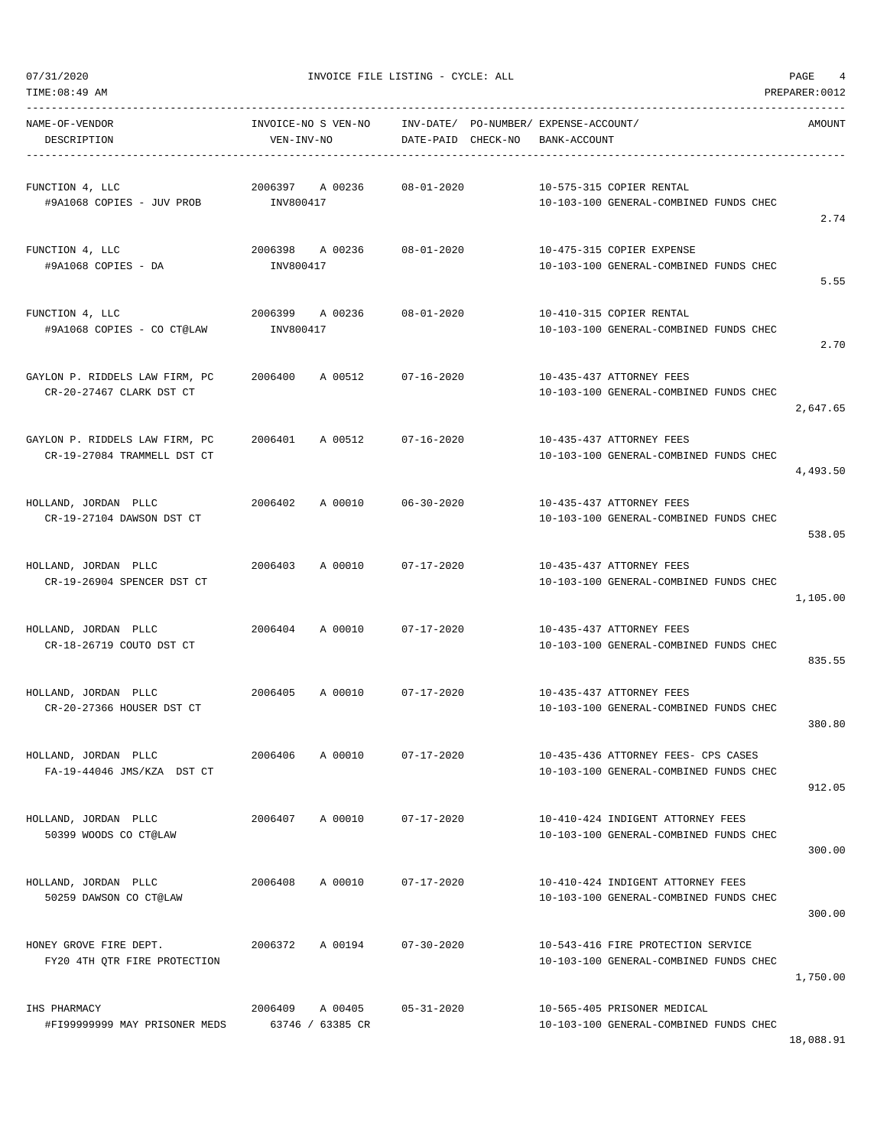| NAME-OF-VENDOR<br>DESCRIPTION                                 | INVOICE-NO S VEN-NO<br>VEN-INV-NO       | INV-DATE/ PO-NUMBER/ EXPENSE-ACCOUNT/<br>DATE-PAID CHECK-NO | BANK-ACCOUNT                                                                  | AMOUNT   |
|---------------------------------------------------------------|-----------------------------------------|-------------------------------------------------------------|-------------------------------------------------------------------------------|----------|
| FUNCTION 4, LLC<br>#9A1068 COPIES - JUV PROB                  | 2006397 A 00236<br>INV800417            | $08 - 01 - 2020$                                            | 10-575-315 COPIER RENTAL<br>10-103-100 GENERAL-COMBINED FUNDS CHEC            |          |
| FUNCTION 4, LLC<br>#9A1068 COPIES - DA                        | 2006398 A 00236 08-01-2020<br>INV800417 |                                                             | 10-475-315 COPIER EXPENSE<br>10-103-100 GENERAL-COMBINED FUNDS CHEC           | 2.74     |
| FUNCTION 4, LLC                                               | 2006399<br>A 00236                      | $08 - 01 - 2020$                                            | 10-410-315 COPIER RENTAL                                                      | 5.55     |
| #9A1068 COPIES - CO CT@LAW                                    | INV800417                               |                                                             | 10-103-100 GENERAL-COMBINED FUNDS CHEC                                        | 2.70     |
| GAYLON P. RIDDELS LAW FIRM, PC<br>CR-20-27467 CLARK DST CT    | 2006400 A 00512                         | 07-16-2020                                                  | 10-435-437 ATTORNEY FEES<br>10-103-100 GENERAL-COMBINED FUNDS CHEC            | 2,647.65 |
| GAYLON P. RIDDELS LAW FIRM, PC<br>CR-19-27084 TRAMMELL DST CT | 2006401 A 00512 07-16-2020              |                                                             | 10-435-437 ATTORNEY FEES<br>10-103-100 GENERAL-COMBINED FUNDS CHEC            | 4,493.50 |
| HOLLAND, JORDAN PLLC<br>CR-19-27104 DAWSON DST CT             | 2006402<br>A 00010                      | $06 - 30 - 2020$                                            | 10-435-437 ATTORNEY FEES<br>10-103-100 GENERAL-COMBINED FUNDS CHEC            | 538.05   |
| HOLLAND, JORDAN PLLC<br>CR-19-26904 SPENCER DST CT            | A 00010<br>2006403                      | 07-17-2020                                                  | 10-435-437 ATTORNEY FEES<br>10-103-100 GENERAL-COMBINED FUNDS CHEC            | 1,105.00 |
| HOLLAND, JORDAN PLLC<br>CR-18-26719 COUTO DST CT              | 2006404 A 00010                         | $07 - 17 - 2020$                                            | 10-435-437 ATTORNEY FEES<br>10-103-100 GENERAL-COMBINED FUNDS CHEC            | 835.55   |
| HOLLAND, JORDAN PLLC<br>CR-20-27366 HOUSER DST CT             | 2006405<br>A 00010                      | 07-17-2020                                                  | 10-435-437 ATTORNEY FEES<br>10-103-100 GENERAL-COMBINED FUNDS CHEC            | 380.80   |
| HOLLAND, JORDAN PLLC<br>FA-19-44046 JMS/KZA DST CT            | A 00010<br>2006406                      | $07 - 17 - 2020$                                            | 10-435-436 ATTORNEY FEES- CPS CASES<br>10-103-100 GENERAL-COMBINED FUNDS CHEC | 912.05   |
| HOLLAND, JORDAN PLLC<br>50399 WOODS CO CT@LAW                 | A 00010<br>2006407                      | $07 - 17 - 2020$                                            | 10-410-424 INDIGENT ATTORNEY FEES<br>10-103-100 GENERAL-COMBINED FUNDS CHEC   | 300.00   |
| HOLLAND, JORDAN PLLC<br>50259 DAWSON CO CT@LAW                | 2006408<br>A 00010                      | $07 - 17 - 2020$                                            | 10-410-424 INDIGENT ATTORNEY FEES<br>10-103-100 GENERAL-COMBINED FUNDS CHEC   | 300.00   |
| HONEY GROVE FIRE DEPT.<br>FY20 4TH QTR FIRE PROTECTION        | 2006372<br>A 00194                      | $07 - 30 - 2020$                                            | 10-543-416 FIRE PROTECTION SERVICE<br>10-103-100 GENERAL-COMBINED FUNDS CHEC  | 1,750.00 |
| IHS PHARMACY<br>#FI99999999 MAY PRISONER MEDS                 | 2006409<br>A 00405<br>63746 / 63385 CR  | $05 - 31 - 2020$                                            | 10-565-405 PRISONER MEDICAL<br>10-103-100 GENERAL-COMBINED FUNDS CHEC         |          |

18,088.91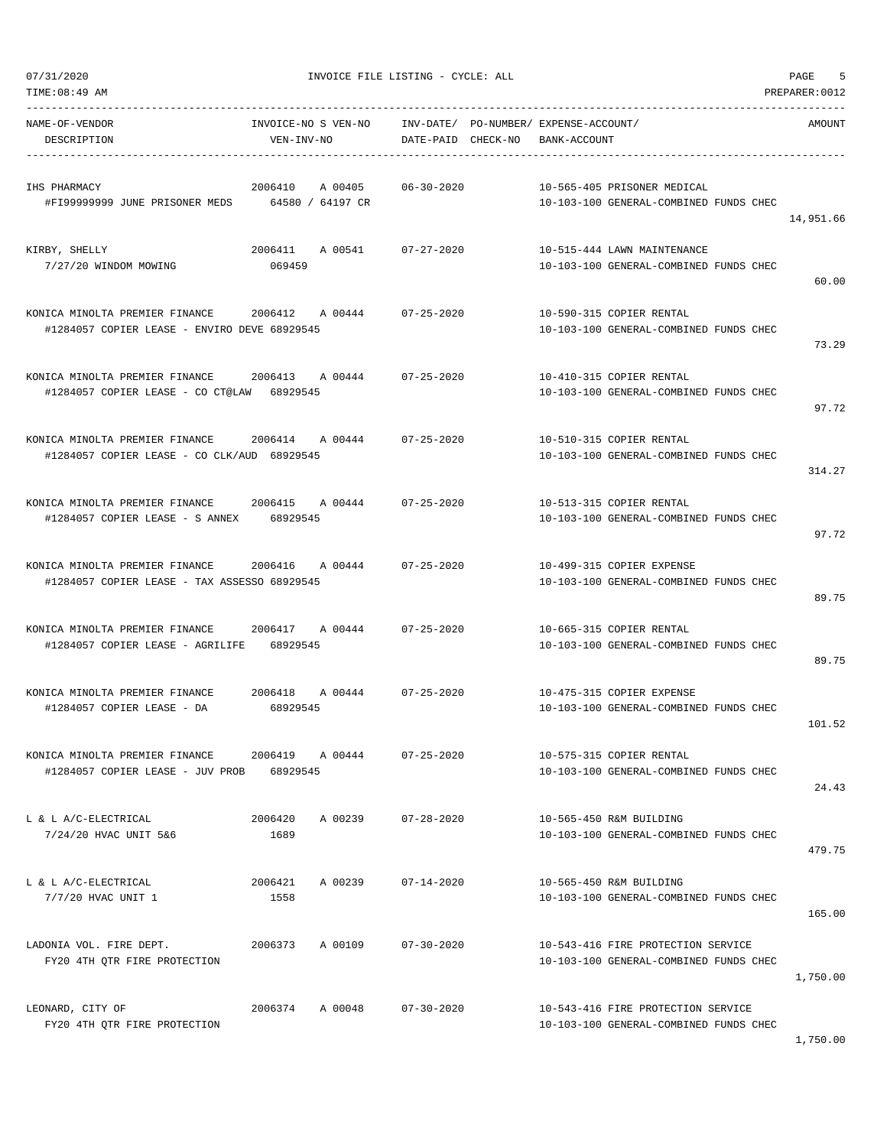| TIME:08:49 AM                                                                                 |                                        |                    |                                                                              | PREPARER: 0012 |
|-----------------------------------------------------------------------------------------------|----------------------------------------|--------------------|------------------------------------------------------------------------------|----------------|
| NAME-OF-VENDOR<br>DESCRIPTION                                                                 | INVOICE-NO S VEN-NO<br>VEN-INV-NO      | DATE-PAID CHECK-NO | INV-DATE/ PO-NUMBER/ EXPENSE-ACCOUNT/<br>BANK-ACCOUNT                        | AMOUNT         |
| IHS PHARMACY<br>#FI99999999 JUNE PRISONER MEDS                                                | 2006410<br>A 00405<br>64580 / 64197 CR | $06 - 30 - 2020$   | 10-565-405 PRISONER MEDICAL<br>10-103-100 GENERAL-COMBINED FUNDS CHEC        | 14,951.66      |
| KIRBY, SHELLY<br>7/27/20 WINDOM MOWING                                                        | 2006411 A 00541<br>069459              | 07-27-2020         | 10-515-444 LAWN MAINTENANCE<br>10-103-100 GENERAL-COMBINED FUNDS CHEC        | 60.00          |
| KONICA MINOLTA PREMIER FINANCE<br>#1284057 COPIER LEASE - ENVIRO DEVE 68929545                | 2006412 A 00444                        | $07 - 25 - 2020$   | 10-590-315 COPIER RENTAL<br>10-103-100 GENERAL-COMBINED FUNDS CHEC           | 73.29          |
| KONICA MINOLTA PREMIER FINANCE<br>#1284057 COPIER LEASE - CO CT@LAW 68929545                  | 2006413 A 00444                        | $07 - 25 - 2020$   | 10-410-315 COPIER RENTAL<br>10-103-100 GENERAL-COMBINED FUNDS CHEC           | 97.72          |
| KONICA MINOLTA PREMIER FINANCE 2006414 A 00444<br>#1284057 COPIER LEASE - CO CLK/AUD 68929545 |                                        | $07 - 25 - 2020$   | 10-510-315 COPIER RENTAL<br>10-103-100 GENERAL-COMBINED FUNDS CHEC           | 314.27         |
| KONICA MINOLTA PREMIER FINANCE<br>#1284057 COPIER LEASE - S ANNEX                             | 2006415 A00444<br>68929545             | $07 - 25 - 2020$   | 10-513-315 COPIER RENTAL<br>10-103-100 GENERAL-COMBINED FUNDS CHEC           | 97.72          |
| KONICA MINOLTA PREMIER FINANCE<br>#1284057 COPIER LEASE - TAX ASSESSO 68929545                | 2006416 A 00444                        | $07 - 25 - 2020$   | 10-499-315 COPIER EXPENSE<br>10-103-100 GENERAL-COMBINED FUNDS CHEC          | 89.75          |
| KONICA MINOLTA PREMIER FINANCE 2006417 A 00444<br>#1284057 COPIER LEASE - AGRILIFE 68929545   |                                        | $07 - 25 - 2020$   | 10-665-315 COPIER RENTAL<br>10-103-100 GENERAL-COMBINED FUNDS CHEC           | 89.75          |
| KONICA MINOLTA PREMIER FINANCE<br>#1284057 COPIER LEASE - DA                                  | 2006418 A 00444<br>68929545            | $07 - 25 - 2020$   | 10-475-315 COPIER EXPENSE<br>10-103-100 GENERAL-COMBINED FUNDS CHEC          | 101.52         |
| KONICA MINOLTA PREMIER FINANCE<br>#1284057 COPIER LEASE - JUV PROB                            | 2006419 A 00444<br>68929545            | $07 - 25 - 2020$   | 10-575-315 COPIER RENTAL<br>10-103-100 GENERAL-COMBINED FUNDS CHEC           | 24.43          |
| L & L A/C-ELECTRICAL<br>7/24/20 HVAC UNIT 5&6                                                 | 2006420<br>A 00239<br>1689             | $07 - 28 - 2020$   | 10-565-450 R&M BUILDING<br>10-103-100 GENERAL-COMBINED FUNDS CHEC            | 479.75         |
| L & L A/C-ELECTRICAL<br>7/7/20 HVAC UNIT 1                                                    | 2006421<br>A 00239<br>1558             | $07 - 14 - 2020$   | 10-565-450 R&M BUILDING<br>10-103-100 GENERAL-COMBINED FUNDS CHEC            | 165.00         |
| LADONIA VOL. FIRE DEPT.<br>FY20 4TH QTR FIRE PROTECTION                                       | 2006373<br>A 00109                     | $07 - 30 - 2020$   | 10-543-416 FIRE PROTECTION SERVICE<br>10-103-100 GENERAL-COMBINED FUNDS CHEC | 1,750.00       |
| LEONARD, CITY OF<br>FY20 4TH QTR FIRE PROTECTION                                              | 2006374<br>A 00048                     | $07 - 30 - 2020$   | 10-543-416 FIRE PROTECTION SERVICE<br>10-103-100 GENERAL-COMBINED FUNDS CHEC |                |

1,750.00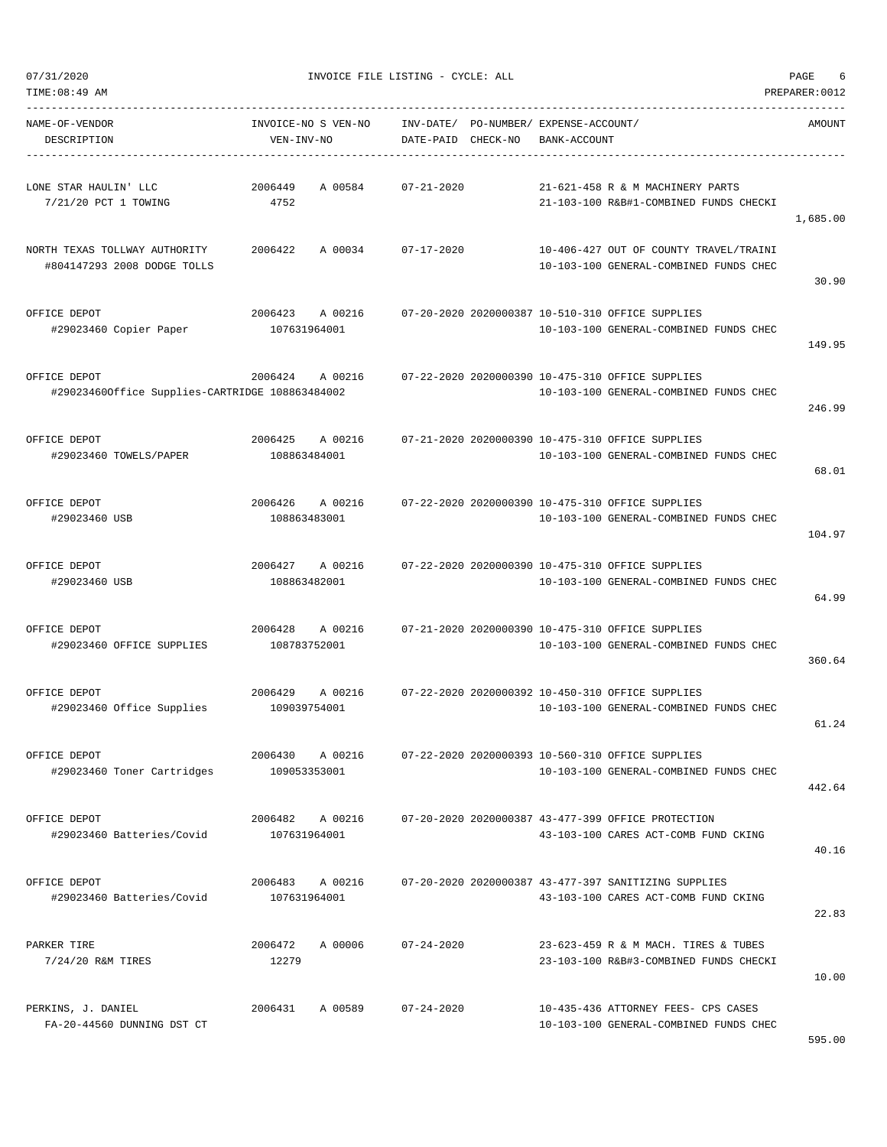| 07/31/2020<br>INVOICE FILE LISTING - CYCLE: ALL | PAGE |  |
|-------------------------------------------------|------|--|
|-------------------------------------------------|------|--|

TIME:08:49 AM PREPARER:0012

| NAME-OF-VENDOR<br>DESCRIPTION                                   | INVOICE-NO S VEN-NO<br>VEN-INV-NO  | DATE-PAID CHECK-NO | INV-DATE/ PO-NUMBER/ EXPENSE-ACCOUNT/<br>BANK-ACCOUNT                                        | AMOUNT   |
|-----------------------------------------------------------------|------------------------------------|--------------------|----------------------------------------------------------------------------------------------|----------|
| LONE STAR HAULIN' LLC<br>7/21/20 PCT 1 TOWING                   | A 00584<br>2006449<br>4752         | $07 - 21 - 2020$   | 21-621-458 R & M MACHINERY PARTS<br>21-103-100 R&B#1-COMBINED FUNDS CHECKI                   | 1,685.00 |
| NORTH TEXAS TOLLWAY AUTHORITY<br>#804147293 2008 DODGE TOLLS    | 2006422<br>A 00034 07-17-2020      |                    | 10-406-427 OUT OF COUNTY TRAVEL/TRAINI<br>10-103-100 GENERAL-COMBINED FUNDS CHEC             | 30.90    |
| OFFICE DEPOT<br>#29023460 Copier Paper                          | 2006423<br>A 00216<br>107631964001 |                    | 07-20-2020 2020000387 10-510-310 OFFICE SUPPLIES<br>10-103-100 GENERAL-COMBINED FUNDS CHEC   | 149.95   |
| OFFICE DEPOT<br>#29023460Office Supplies-CARTRIDGE 108863484002 | 2006424<br>A 00216                 |                    | 07-22-2020 2020000390 10-475-310 OFFICE SUPPLIES<br>10-103-100 GENERAL-COMBINED FUNDS CHEC   | 246.99   |
| OFFICE DEPOT<br>#29023460 TOWELS/PAPER                          | 2006425 A 00216<br>108863484001    |                    | 07-21-2020 2020000390 10-475-310 OFFICE SUPPLIES<br>10-103-100 GENERAL-COMBINED FUNDS CHEC   | 68.01    |
| OFFICE DEPOT<br>#29023460 USB                                   | A 00216<br>2006426<br>108863483001 |                    | 07-22-2020 2020000390 10-475-310 OFFICE SUPPLIES<br>10-103-100 GENERAL-COMBINED FUNDS CHEC   | 104.97   |
| OFFICE DEPOT<br>#29023460 USB                                   | 2006427<br>A 00216<br>108863482001 |                    | 07-22-2020 2020000390 10-475-310 OFFICE SUPPLIES<br>10-103-100 GENERAL-COMBINED FUNDS CHEC   | 64.99    |
| OFFICE DEPOT<br>#29023460 OFFICE SUPPLIES                       | 2006428 A 00216<br>108783752001    |                    | 07-21-2020 2020000390 10-475-310 OFFICE SUPPLIES<br>10-103-100 GENERAL-COMBINED FUNDS CHEC   | 360.64   |
| OFFICE DEPOT<br>#29023460 Office Supplies                       | 2006429<br>A 00216<br>109039754001 |                    | 07-22-2020 2020000392 10-450-310 OFFICE SUPPLIES<br>10-103-100 GENERAL-COMBINED FUNDS CHEC   | 61.24    |
| OFFICE DEPOT<br>#29023460 Toner Cartridges                      | 2006430<br>A 00216<br>109053353001 |                    | 07-22-2020 2020000393 10-560-310 OFFICE SUPPLIES<br>10-103-100 GENERAL-COMBINED FUNDS CHEC   | 442.64   |
| OFFICE DEPOT<br>#29023460 Batteries/Covid                       | 2006482 A 00216<br>107631964001    |                    | 07-20-2020 2020000387 43-477-399 OFFICE PROTECTION<br>43-103-100 CARES ACT-COMB FUND CKING   | 40.16    |
| OFFICE DEPOT<br>#29023460 Batteries/Covid                       | 2006483 A 00216<br>107631964001    |                    | 07-20-2020 2020000387 43-477-397 SANITIZING SUPPLIES<br>43-103-100 CARES ACT-COMB FUND CKING | 22.83    |
| PARKER TIRE<br>7/24/20 R&M TIRES                                | 2006472<br>A 00006<br>12279        | $07 - 24 - 2020$   | 23-623-459 R & M MACH. TIRES & TUBES<br>23-103-100 R&B#3-COMBINED FUNDS CHECKI               | 10.00    |
| PERKINS, J. DANIEL<br>FA-20-44560 DUNNING DST CT                | A 00589<br>2006431                 | $07 - 24 - 2020$   | 10-435-436 ATTORNEY FEES- CPS CASES<br>10-103-100 GENERAL-COMBINED FUNDS CHEC                |          |

595.00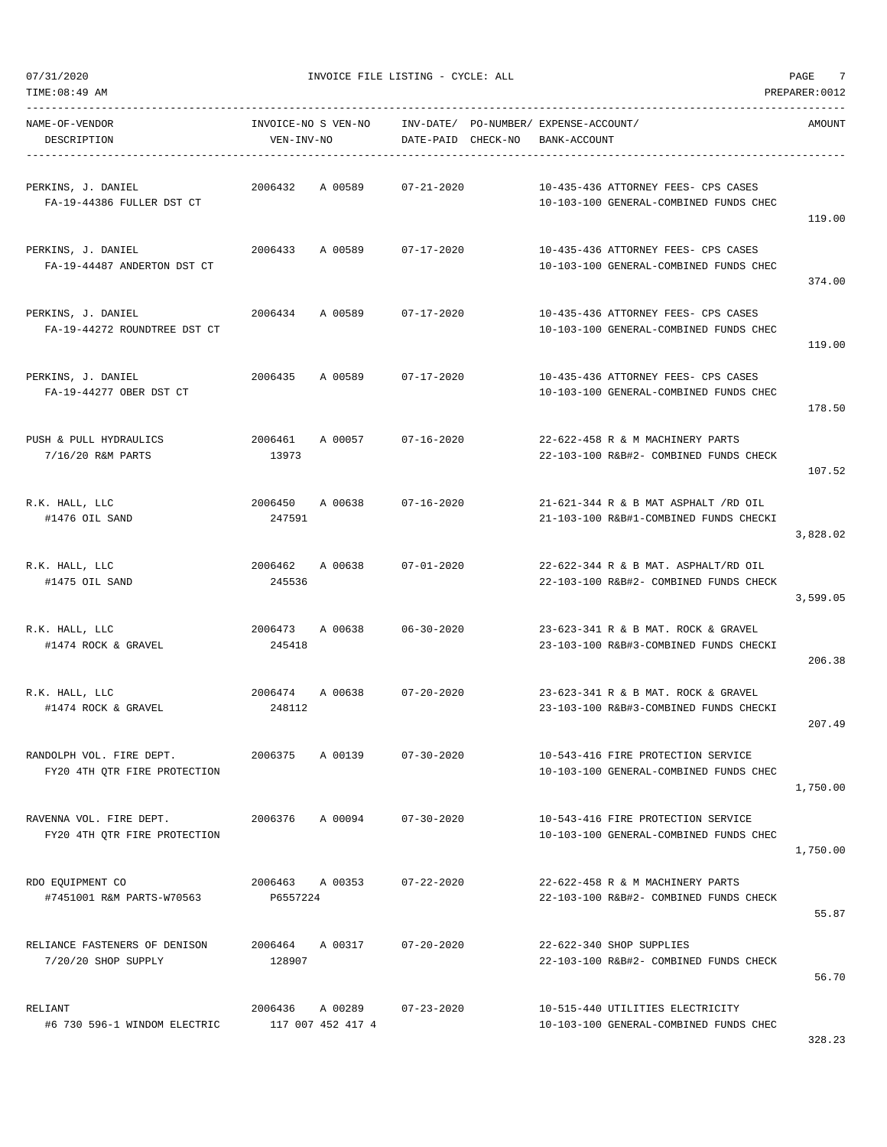TIME:08:49 AM PREPARER:0012

 $07/31/2020$  PAGE  $7$ 

| NAME-OF-VENDOR<br>DESCRIPTION                            | INVOICE-NO S VEN-NO INV-DATE/ PO-NUMBER/ EXPENSE-ACCOUNT/<br>VEN-INV-NO | DATE-PAID CHECK-NO | BANK-ACCOUNT                                                                   | AMOUNT   |
|----------------------------------------------------------|-------------------------------------------------------------------------|--------------------|--------------------------------------------------------------------------------|----------|
| PERKINS, J. DANIEL<br>FA-19-44386 FULLER DST CT          | 2006432 A 00589                                                         | 07-21-2020         | 10-435-436 ATTORNEY FEES- CPS CASES<br>10-103-100 GENERAL-COMBINED FUNDS CHEC  | 119.00   |
| PERKINS, J. DANIEL<br>FA-19-44487 ANDERTON DST CT        | 2006433 A 00589 07-17-2020                                              |                    | 10-435-436 ATTORNEY FEES- CPS CASES<br>10-103-100 GENERAL-COMBINED FUNDS CHEC  | 374.00   |
| PERKINS, J. DANIEL<br>FA-19-44272 ROUNDTREE DST CT       | 2006434 A 00589 07-17-2020                                              |                    | 10-435-436 ATTORNEY FEES- CPS CASES<br>10-103-100 GENERAL-COMBINED FUNDS CHEC  | 119.00   |
| PERKINS, J. DANIEL<br>FA-19-44277 OBER DST CT            | 2006435 A 00589 07-17-2020                                              |                    | 10-435-436 ATTORNEY FEES- CPS CASES<br>10-103-100 GENERAL-COMBINED FUNDS CHEC  | 178.50   |
| PUSH & PULL HYDRAULICS<br>7/16/20 R&M PARTS              | 2006461 A00057 07-16-2020<br>13973                                      |                    | 22-622-458 R & M MACHINERY PARTS<br>22-103-100 R&B#2- COMBINED FUNDS CHECK     | 107.52   |
| R.K. HALL, LLC<br>#1476 OIL SAND                         | 2006450 A 00638 07-16-2020<br>247591                                    |                    | 21-621-344 R & B MAT ASPHALT /RD OIL<br>21-103-100 R&B#1-COMBINED FUNDS CHECKI | 3,828.02 |
| R.K. HALL, LLC<br>#1475 OIL SAND                         | 2006462 A 00638 07-01-2020<br>245536                                    |                    | 22-622-344 R & B MAT. ASPHALT/RD OIL<br>22-103-100 R&B#2- COMBINED FUNDS CHECK | 3,599.05 |
| R.K. HALL, LLC<br>#1474 ROCK & GRAVEL                    | 2006473 A 00638 06-30-2020<br>245418                                    |                    | 23-623-341 R & B MAT. ROCK & GRAVEL<br>23-103-100 R&B#3-COMBINED FUNDS CHECKI  | 206.38   |
| R.K. HALL, LLC<br>#1474 ROCK & GRAVEL                    | 2006474 A 00638 07-20-2020<br>248112                                    |                    | 23-623-341 R & B MAT. ROCK & GRAVEL<br>23-103-100 R&B#3-COMBINED FUNDS CHECKI  | 207.49   |
| RANDOLPH VOL. FIRE DEPT.<br>FY20 4TH QTR FIRE PROTECTION | 2006375<br>A 00139                                                      | $07 - 30 - 2020$   | 10-543-416 FIRE PROTECTION SERVICE<br>10-103-100 GENERAL-COMBINED FUNDS CHEC   | 1,750.00 |
| RAVENNA VOL. FIRE DEPT.<br>FY20 4TH QTR FIRE PROTECTION  | 2006376 A 00094 07-30-2020                                              |                    | 10-543-416 FIRE PROTECTION SERVICE<br>10-103-100 GENERAL-COMBINED FUNDS CHEC   | 1,750.00 |
| RDO EQUIPMENT CO<br>#7451001 R&M PARTS-W70563            | 2006463 A 00353 07-22-2020<br>P6557224                                  |                    | 22-622-458 R & M MACHINERY PARTS<br>22-103-100 R&B#2- COMBINED FUNDS CHECK     | 55.87    |
| RELIANCE FASTENERS OF DENISON<br>$7/20/20$ SHOP SUPPLY   | 2006464 A 00317<br>128907                                               | $07 - 20 - 2020$   | 22-622-340 SHOP SUPPLIES<br>22-103-100 R&B#2- COMBINED FUNDS CHECK             | 56.70    |
| RELIANT<br>#6 730 596-1 WINDOM ELECTRIC                  | 2006436 A 00289 07-23-2020<br>117 007 452 417 4                         |                    | 10-515-440 UTILITIES ELECTRICITY<br>10-103-100 GENERAL-COMBINED FUNDS CHEC     |          |

328.23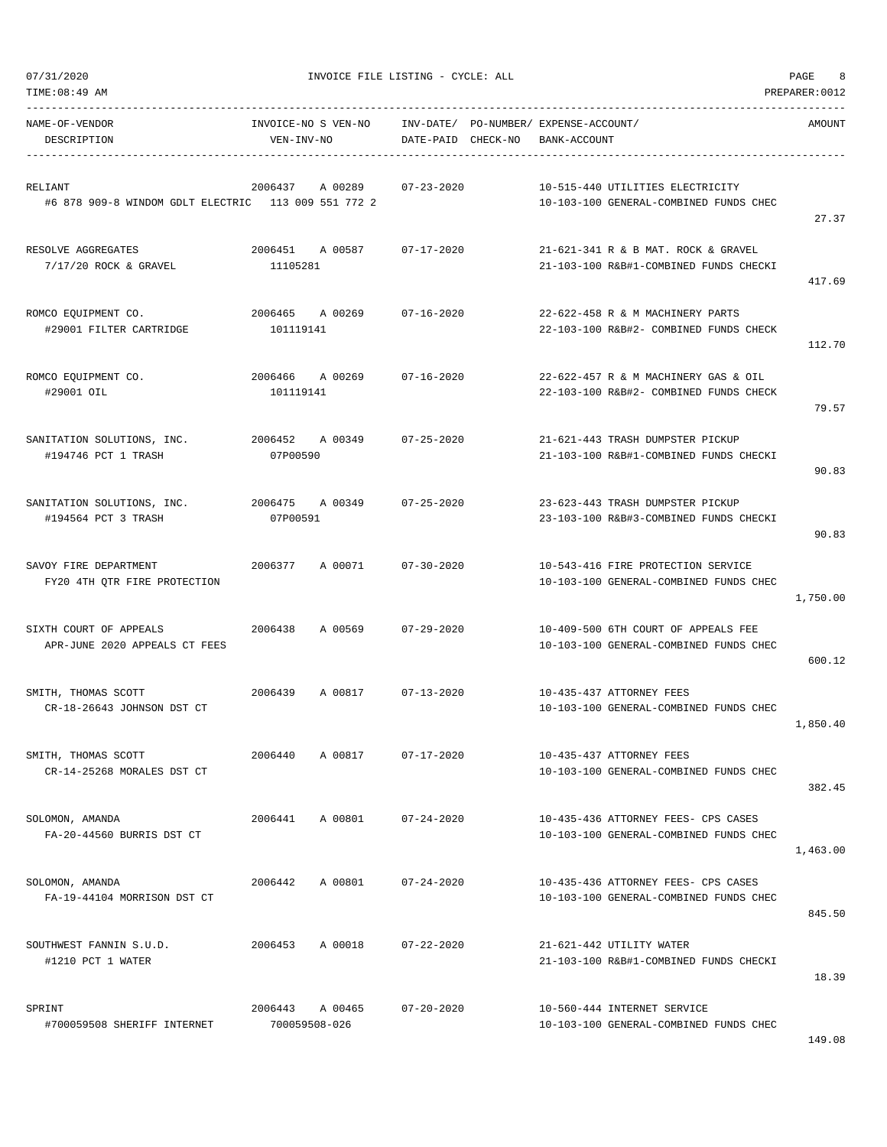| TIME:08:49 AM                                                  |                                   |                                                             |                                                                                | PREPARER: 0012 |
|----------------------------------------------------------------|-----------------------------------|-------------------------------------------------------------|--------------------------------------------------------------------------------|----------------|
| NAME-OF-VENDOR<br>DESCRIPTION                                  | INVOICE-NO S VEN-NO<br>VEN-INV-NO | INV-DATE/ PO-NUMBER/ EXPENSE-ACCOUNT/<br>DATE-PAID CHECK-NO | BANK-ACCOUNT                                                                   | AMOUNT         |
| RELIANT<br>#6 878 909-8 WINDOM GDLT ELECTRIC 113 009 551 772 2 | A 00289<br>2006437                | $07 - 23 - 2020$                                            | 10-515-440 UTILITIES ELECTRICITY<br>10-103-100 GENERAL-COMBINED FUNDS CHEC     | 27.37          |
| RESOLVE AGGREGATES<br>$7/17/20$ ROCK & GRAVEL                  | 2006451 A 00587<br>11105281       | 07-17-2020                                                  | 21-621-341 R & B MAT, ROCK & GRAVEL<br>21-103-100 R&B#1-COMBINED FUNDS CHECKI  | 417.69         |
| ROMCO EQUIPMENT CO.<br>#29001 FILTER CARTRIDGE                 | 2006465 A 00269<br>101119141      | 07-16-2020                                                  | 22-622-458 R & M MACHINERY PARTS<br>22-103-100 R&B#2- COMBINED FUNDS CHECK     | 112.70         |
| ROMCO EQUIPMENT CO.<br>#29001 OIL                              | 2006466 A 00269<br>101119141      | $07 - 16 - 2020$                                            | 22-622-457 R & M MACHINERY GAS & OIL<br>22-103-100 R&B#2- COMBINED FUNDS CHECK | 79.57          |
| SANITATION SOLUTIONS, INC.<br>#194746 PCT 1 TRASH              | 2006452 A 00349<br>07P00590       | $07 - 25 - 2020$                                            | 21-621-443 TRASH DUMPSTER PICKUP<br>21-103-100 R&B#1-COMBINED FUNDS CHECKI     | 90.83          |
| SANITATION SOLUTIONS, INC.<br>#194564 PCT 3 TRASH              | 2006475 A 00349<br>07P00591       | $07 - 25 - 2020$                                            | 23-623-443 TRASH DUMPSTER PICKUP<br>23-103-100 R&B#3-COMBINED FUNDS CHECKI     | 90.83          |
| SAVOY FIRE DEPARTMENT<br>FY20 4TH QTR FIRE PROTECTION          | 2006377<br>A 00071                | $07 - 30 - 2020$                                            | 10-543-416 FIRE PROTECTION SERVICE<br>10-103-100 GENERAL-COMBINED FUNDS CHEC   | 1,750.00       |
| SIXTH COURT OF APPEALS<br>APR-JUNE 2020 APPEALS CT FEES        | 2006438<br>A 00569                | $07 - 29 - 2020$                                            | 10-409-500 6TH COURT OF APPEALS FEE<br>10-103-100 GENERAL-COMBINED FUNDS CHEC  | 600.12         |
| SMITH, THOMAS SCOTT<br>CR-18-26643 JOHNSON DST CT              | 2006439<br>A 00817                | $07 - 13 - 2020$                                            | 10-435-437 ATTORNEY FEES<br>10-103-100 GENERAL-COMBINED FUNDS CHEC             | 1,850.40       |
| SMITH, THOMAS SCOTT<br>CR-14-25268 MORALES DST CT              | 2006440<br>A 00817                | $07 - 17 - 2020$                                            | 10-435-437 ATTORNEY FEES<br>10-103-100 GENERAL-COMBINED FUNDS CHEC             | 382.45         |
| SOLOMON, AMANDA<br>FA-20-44560 BURRIS DST CT                   | 2006441<br>A 00801                | $07 - 24 - 2020$                                            | 10-435-436 ATTORNEY FEES- CPS CASES<br>10-103-100 GENERAL-COMBINED FUNDS CHEC  | 1,463.00       |
| SOLOMON, AMANDA<br>FA-19-44104 MORRISON DST CT                 | 2006442<br>A 00801                | $07 - 24 - 2020$                                            | 10-435-436 ATTORNEY FEES- CPS CASES<br>10-103-100 GENERAL-COMBINED FUNDS CHEC  | 845.50         |
| SOUTHWEST FANNIN S.U.D.<br>#1210 PCT 1 WATER                   | 2006453<br>A 00018                | $07 - 22 - 2020$                                            | 21-621-442 UTILITY WATER<br>21-103-100 R&B#1-COMBINED FUNDS CHECKI             | 18.39          |
| SPRINT<br>#700059508 SHERIFF INTERNET                          | 2006443 A 00465<br>700059508-026  | $07 - 20 - 2020$                                            | 10-560-444 INTERNET SERVICE<br>10-103-100 GENERAL-COMBINED FUNDS CHEC          |                |

149.08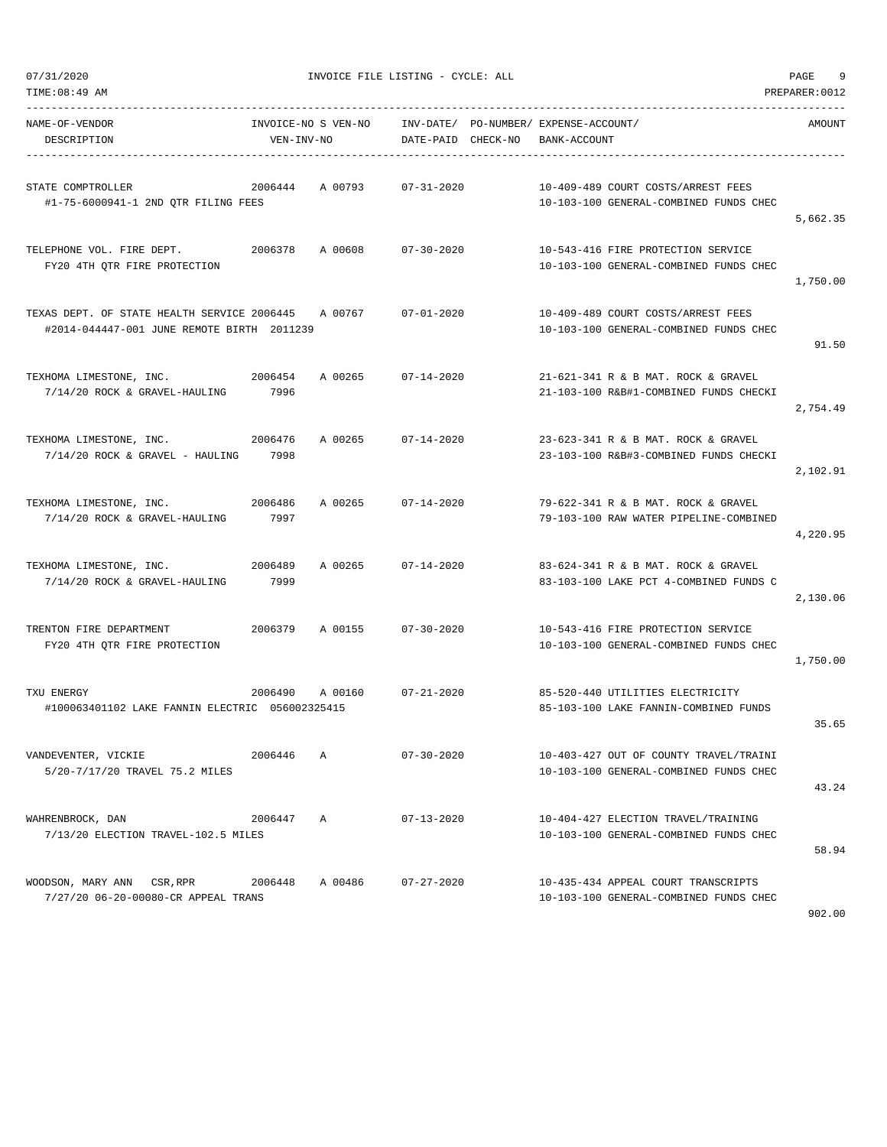| TIME:08:49 AM                                                                             |                                   |         |                    |                                                                                  | PREPARER: 0012 |
|-------------------------------------------------------------------------------------------|-----------------------------------|---------|--------------------|----------------------------------------------------------------------------------|----------------|
| NAME-OF-VENDOR<br>DESCRIPTION                                                             | INVOICE-NO S VEN-NO<br>VEN-INV-NO |         | DATE-PAID CHECK-NO | INV-DATE/ PO-NUMBER/ EXPENSE-ACCOUNT/<br>BANK-ACCOUNT                            | AMOUNT         |
| STATE COMPTROLLER<br>#1-75-6000941-1 2ND QTR FILING FEES                                  | 2006444                           | A 00793 | $07 - 31 - 2020$   | 10-409-489 COURT COSTS/ARREST FEES<br>10-103-100 GENERAL-COMBINED FUNDS CHEC     | 5,662.35       |
| TELEPHONE VOL. FIRE DEPT.<br>FY20 4TH QTR FIRE PROTECTION                                 | 2006378                           | A 00608 | $07 - 30 - 2020$   | 10-543-416 FIRE PROTECTION SERVICE<br>10-103-100 GENERAL-COMBINED FUNDS CHEC     | 1,750.00       |
| TEXAS DEPT. OF STATE HEALTH SERVICE 2006445<br>#2014-044447-001 JUNE REMOTE BIRTH 2011239 |                                   | A 00767 | $07 - 01 - 2020$   | 10-409-489 COURT COSTS/ARREST FEES<br>10-103-100 GENERAL-COMBINED FUNDS CHEC     | 91.50          |
| TEXHOMA LIMESTONE, INC.<br>7/14/20 ROCK & GRAVEL-HAULING                                  | 2006454<br>7996                   | A 00265 | $07 - 14 - 2020$   | 21-621-341 R & B MAT. ROCK & GRAVEL<br>21-103-100 R&B#1-COMBINED FUNDS CHECKI    | 2,754.49       |
| TEXHOMA LIMESTONE, INC.<br>2006476<br>7/14/20 ROCK & GRAVEL - HAULING                     | 7998                              | A 00265 | $07 - 14 - 2020$   | 23-623-341 R & B MAT, ROCK & GRAVEL<br>23-103-100 R&B#3-COMBINED FUNDS CHECKI    | 2,102.91       |
| TEXHOMA LIMESTONE, INC.<br>7/14/20 ROCK & GRAVEL-HAULING                                  | 2006486<br>7997                   | A 00265 | $07 - 14 - 2020$   | 79-622-341 R & B MAT. ROCK & GRAVEL<br>79-103-100 RAW WATER PIPELINE-COMBINED    | 4,220.95       |
| TEXHOMA LIMESTONE, INC.<br>7/14/20 ROCK & GRAVEL-HAULING                                  | 2006489<br>7999                   | A 00265 | $07 - 14 - 2020$   | 83-624-341 R & B MAT. ROCK & GRAVEL<br>83-103-100 LAKE PCT 4-COMBINED FUNDS C    | 2,130.06       |
| TRENTON FIRE DEPARTMENT<br>FY20 4TH QTR FIRE PROTECTION                                   | 2006379                           | A 00155 | $07 - 30 - 2020$   | 10-543-416 FIRE PROTECTION SERVICE<br>10-103-100 GENERAL-COMBINED FUNDS CHEC     | 1,750.00       |
| TXU ENERGY<br>#100063401102 LAKE FANNIN ELECTRIC 056002325415                             | 2006490                           | A 00160 | $07 - 21 - 2020$   | 85-520-440 UTILITIES ELECTRICITY<br>85-103-100 LAKE FANNIN-COMBINED FUNDS        | 35.65          |
| VANDEVENTER, VICKIE<br>5/20-7/17/20 TRAVEL 75.2 MILES                                     | 2006446                           | Α       | $07 - 30 - 2020$   | 10-403-427 OUT OF COUNTY TRAVEL/TRAINI<br>10-103-100 GENERAL-COMBINED FUNDS CHEC | 43.24          |
| WAHRENBROCK, DAN<br>7/13/20 ELECTION TRAVEL-102.5 MILES                                   | 2006447                           | Α       | $07 - 13 - 2020$   | 10-404-427 ELECTION TRAVEL/TRAINING<br>10-103-100 GENERAL-COMBINED FUNDS CHEC    | 58.94          |
| WOODSON, MARY ANN CSR, RPR<br>7/27/20 06-20-00080-CR APPEAL TRANS                         | 2006448                           | A 00486 | $07 - 27 - 2020$   | 10-435-434 APPEAL COURT TRANSCRIPTS<br>10-103-100 GENERAL-COMBINED FUNDS CHEC    | 902.00         |